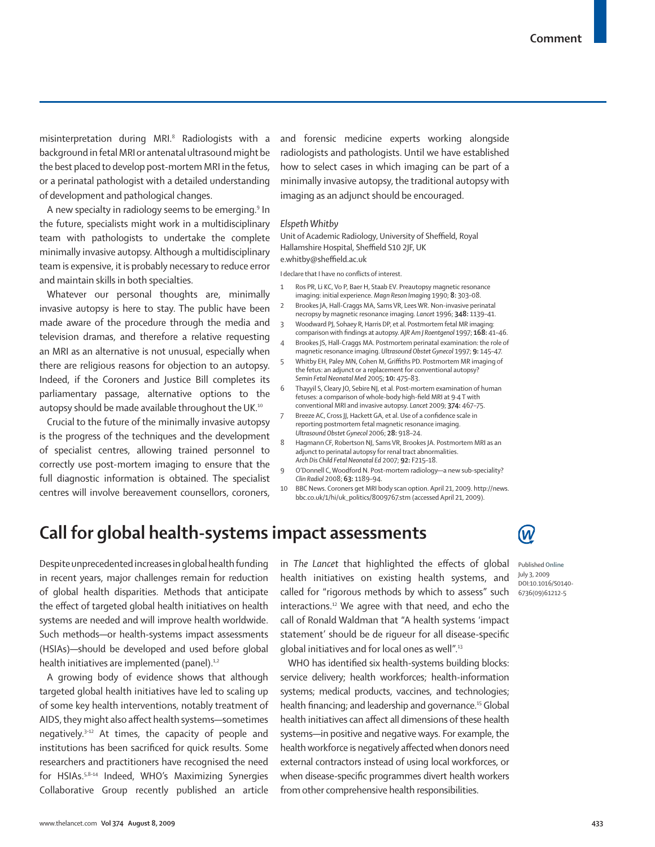misinterpretation during MRI.8 Radiologists with a background in fetal MRI or antenatal ultrasound might be the best placed to develop post-mortem MRI in the fetus, or a perinatal pathologist with a detailed understanding of development and pathological changes.

A new specialty in radiology seems to be emerging.<sup>9</sup> In the future, specialists might work in a multidisciplinary team with pathologists to undertake the complete minimally invasive autopsy. Although a multidisciplinary team is expensive, it is probably necessary to reduce error and maintain skills in both specialties.

Whatever our personal thoughts are, minimally invasive autopsy is here to stay. The public have been made aware of the procedure through the media and television dramas, and therefore a relative requesting an MRI as an alternative is not unusual, especially when there are religious reasons for objection to an autopsy. Indeed, if the Coroners and Justice Bill completes its parliamentary passage, alternative options to the autopsy should be made available throughout the UK.<sup>10</sup>

Crucial to the future of the minimally invasive autopsy is the progress of the techniques and the development of specialist centres, allowing trained personnel to correctly use post-mortem imaging to ensure that the full diagnostic information is obtained. The specialist centres will involve bereavement counsellors, coroners, and forensic medicine experts working alongside radiologists and pathologists. Until we have established how to select cases in which imaging can be part of a minimally invasive autopsy, the traditional autopsy with imaging as an adjunct should be encouraged.

#### *Elspeth Whitby*

Unit of Academic Radiology, University of Sheffield, Royal Hallamshire Hospital, Sheffield S10 2JF, UK e.whitby@sheffield.ac.uk

I declare that I have no conflicts of interest.

- Ros PR, Li KC, Vo P, Baer H, Staab EV. Preautopsy magnetic resonance imaging: initial experience. *Magn Reson Imaging* 1990; **8:** 303–08.
- 2 Brookes JA, Hall-Craggs MA, Sams VR, Lees WR. Non-invasive perinatal necropsy by magnetic resonance imaging. *Lancet* 1996; **348:** 1139–41.
- 3 Woodward PJ, Sohaey R, Harris DP, et al. Postmortem fetal MR imaging: comparison with findings at autopsy. AJR Am J Roentgenol 1997; 168: 41-46.
- 4 Brookes JS, Hall-Craggs MA. Postmortem perinatal examination: the role of magnetic resonance imaging. *Ultrasound Obstet Gynecol* 1997; **9:** 145–47.
- 5 Whitby EH, Paley MN, Cohen M, Griffiths PD. Postmortem MR imaging of the fetus: an adjunct or a replacement for conventional autopsy? *Semin Fetal Neonatal Med* 2005; **10:** 475–83.
- Thayyil S, Cleary JO, Sebire NJ, et al. Post-mortem examination of human fetuses: a comparison of whole-body high-field MRI at 9.4 T with conventional MRI and invasive autopsy. *Lancet* 2009; **374:** 467–75.
- Breeze AC, Cross JJ, Hackett GA, et al. Use of a confidence scale in reporting postmortem fetal magnetic resonance imaging. *Ultrasound Obstet Gynecol* 2006; **28:** 918–24.
- 8 Hagmann CF, Robertson NJ, Sams VR, Brookes JA. Postmortem MRI as an adjunct to perinatal autopsy for renal tract abnormalities. *Arch Dis Child Fetal Neonatal Ed* 2007; **92:** F215–18.
- 9 O'Donnell C, Woodford N. Post-mortem radiology—a new sub-speciality? *Clin Radiol* 2008; **63:** 1189–94.
- 10 BBC News. Coroners get MRI body scan option. April 21, 2009. http://news. bbc.co.uk/1/hi/uk\_politics/8009767.stm (accessed April 21, 2009).

## **Call for global health-systems impact assessments**

Despite unprecedented increases in global health funding in recent years, major challenges remain for reduction of global health disparities. Methods that anticipate the effect of targeted global health initiatives on health systems are needed and will improve health worldwide. Such methods—or health-systems impact assessments (HSIAs)—should be developed and used before global health initiatives are implemented (panel). $1,2$ 

A growing body of evidence shows that although targeted global health initiatives have led to scaling up of some key health interventions, notably treatment of AIDS, they might also affect health systems-sometimes negatively. $3-12$  At times, the capacity of people and institutions has been sacrificed for quick results. Some researchers and practitioners have recognised the need for HSIAs.5,8–14 Indeed, WHO's Maximizing Synergies Collaborative Group recently published an article

in *The Lancet* that highlighted the effects of global health initiatives on existing health systems, and called for "rigorous methods by which to assess" such interactions.12 We agree with that need, and echo the call of Ronald Waldman that "A health systems 'impact statement' should be de riqueur for all disease-specific global initiatives and for local ones as well".13

WHO has identified six health-systems building blocks: service delivery; health workforces; health-information systems; medical products, vaccines, and technologies; health financing; and leadership and governance.<sup>15</sup> Global health initiatives can affect all dimensions of these health systems—in positive and negative ways. For example, the health workforce is negatively affected when donors need external contractors instead of using local workforces, or when disease-specific programmes divert health workers from other comprehensive health responsibilities.



Published **Online** July 3, 2009 DOI:10.1016/S0140- 6736(09)61212-5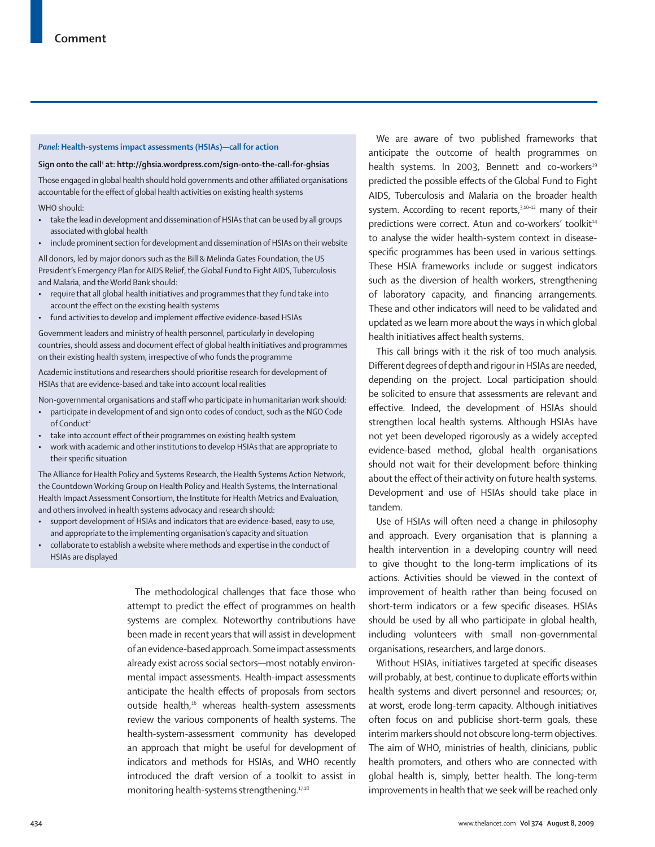#### *Panel:* **Health-systems impact assessments (HSIAs)—call for action**

#### Sign onto the call<sup>1</sup> at: http://ghsia.wordpress.com/sign-onto-the-call-for-ghsias

Those engaged in global health should hold governments and other affiliated organisations accountable for the effect of global health activities on existing health systems

WHO should:

- take the lead in development and dissemination of HSIAs that can be used by all groups associated with global health
- include prominent section for development and dissemination of HSIAs on their website

All donors, led by major donors such as the Bill & Melinda Gates Foundation, the US President's Emergency Plan for AIDS Relief, the Global Fund to Fight AIDS, Tuberculosis and Malaria, and the World Bank should:

- require that all global health initiatives and programmes that they fund take into account the effect on the existing health systems
- fund activities to develop and implement effective evidence-based HSIAs

Government leaders and ministry of health personnel, particularly in developing countries, should assess and document effect of global health initiatives and programmes on their existing health system, irrespective of who funds the programme

Academic institutions and researchers should prioritise research for development of HSIAs that are evidence-based and take into account local realities

Non-governmental organisations and staff who participate in humanitarian work should:

- participate in development of and sign onto codes of conduct, such as the NGO Code of Conduct<sup>2</sup>
- take into account effect of their programmes on existing health system
- work with academic and other institutions to develop HSIAs that are appropriate to their specific situation

The Alliance for Health Policy and Systems Research, the Health Systems Action Network, the Countdown Working Group on Health Policy and Health Systems, the International Health Impact Assessment Consortium, the Institute for Health Metrics and Evaluation, and others involved in health systems advocacy and research should:

- support development of HSIAs and indicators that are evidence-based, easy to use, and appropriate to the implementing organisation's capacity and situation
- collaborate to establish a website where methods and expertise in the conduct of HSIAs are displayed

The methodological challenges that face those who attempt to predict the effect of programmes on health systems are complex. Noteworthy contributions have been made in recent years that will assist in development of an evidence-based approach. Some impact assessments already exist across social sectors—most notably environmental impact assessments. Health-impact assessments anticipate the health effects of proposals from sectors outside health,16 whereas health-system assessments review the various components of health systems. The health-system-assessment community has developed an approach that might be useful for development of indicators and methods for HSIAs, and WHO recently introduced the draft version of a toolkit to assist in monitoring health-systems strengthening.17,18

We are aware of two published frameworks that anticipate the outcome of health programmes on health systems. In 2003, Bennett and co-workers<sup>19</sup> predicted the possible effects of the Global Fund to Fight AIDS, Tuberculosis and Malaria on the broader health system. According to recent reports, $3,10-12$  many of their predictions were correct. Atun and co-workers' toolkit<sup>14</sup> to analyse the wider health-system context in diseasespecific programmes has been used in various settings. These HSIA frameworks include or suggest indicators such as the diversion of health workers, strengthening of laboratory capacity, and financing arrangements. These and other indicators will need to be validated and updated as we learn more about the ways in which global health initiatives affect health systems.

This call brings with it the risk of too much analysis. Different degrees of depth and rigour in HSIAs are needed, depending on the project. Local participation should be solicited to ensure that assessments are relevant and effective. Indeed, the development of HSIAs should strengthen local health systems. Although HSIAs have not yet been developed rigorously as a widely accepted evidence-based method, global health organisations should not wait for their development before thinking about the effect of their activity on future health systems. Development and use of HSIAs should take place in tandem.

Use of HSIAs will often need a change in philosophy and approach. Every organisation that is planning a health intervention in a developing country will need to give thought to the long-term implications of its actions. Activities should be viewed in the context of improvement of health rather than being focused on short-term indicators or a few specific diseases. HSIAs should be used by all who participate in global health, including volunteers with small non-governmental organisations, researchers, and large donors.

Without HSIAs, initiatives targeted at specific diseases will probably, at best, continue to duplicate efforts within health systems and divert personnel and resources; or, at worst, erode long-term capacity. Although initiatives often focus on and publicise short-term goals, these interim markers should not obscure long-term objectives. The aim of WHO, ministries of health, clinicians, public health promoters, and others who are connected with global health is, simply, better health. The long-term improvements in health that we seek will be reached only